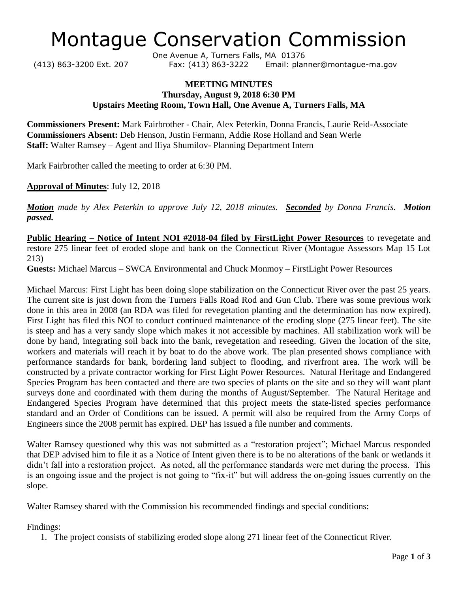# Montague Conservation Commission

One Avenue A, Turners Falls, MA 01376 (413) 863-3200 Ext. 207 Fax: (413) 863-3222 Email: planner@montague-ma.gov

#### **MEETING MINUTES Thursday, August 9, 2018 6:30 PM Upstairs Meeting Room, Town Hall, One Avenue A, Turners Falls, MA**

**Commissioners Present:** Mark Fairbrother - Chair, Alex Peterkin, Donna Francis, Laurie Reid-Associate **Commissioners Absent:** Deb Henson, Justin Fermann, Addie Rose Holland and Sean Werle **Staff:** Walter Ramsey – Agent and Iliya Shumilov- Planning Department Intern

Mark Fairbrother called the meeting to order at 6:30 PM.

**Approval of Minutes**: July 12, 2018

*Motion made by Alex Peterkin to approve July 12, 2018 minutes. Seconded by Donna Francis. Motion passed.*

**Public Hearing – Notice of Intent NOI #2018-04 filed by FirstLight Power Resources** to revegetate and restore 275 linear feet of eroded slope and bank on the Connecticut River (Montague Assessors Map 15 Lot 213)

**Guests:** Michael Marcus – SWCA Environmental and Chuck Monmoy – FirstLight Power Resources

Michael Marcus: First Light has been doing slope stabilization on the Connecticut River over the past 25 years. The current site is just down from the Turners Falls Road Rod and Gun Club. There was some previous work done in this area in 2008 (an RDA was filed for revegetation planting and the determination has now expired). First Light has filed this NOI to conduct continued maintenance of the eroding slope (275 linear feet). The site is steep and has a very sandy slope which makes it not accessible by machines. All stabilization work will be done by hand, integrating soil back into the bank, revegetation and reseeding. Given the location of the site, workers and materials will reach it by boat to do the above work. The plan presented shows compliance with performance standards for bank, bordering land subject to flooding, and riverfront area. The work will be constructed by a private contractor working for First Light Power Resources. Natural Heritage and Endangered Species Program has been contacted and there are two species of plants on the site and so they will want plant surveys done and coordinated with them during the months of August/September. The Natural Heritage and Endangered Species Program have determined that this project meets the state-listed species performance standard and an Order of Conditions can be issued. A permit will also be required from the Army Corps of Engineers since the 2008 permit has expired. DEP has issued a file number and comments.

Walter Ramsey questioned why this was not submitted as a "restoration project"; Michael Marcus responded that DEP advised him to file it as a Notice of Intent given there is to be no alterations of the bank or wetlands it didn't fall into a restoration project. As noted, all the performance standards were met during the process. This is an ongoing issue and the project is not going to "fix-it" but will address the on-going issues currently on the slope.

Walter Ramsey shared with the Commission his recommended findings and special conditions:

Findings:

1. The project consists of stabilizing eroded slope along 271 linear feet of the Connecticut River.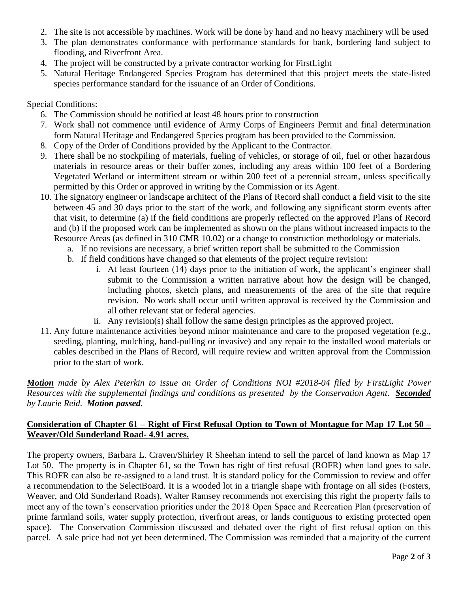- 2. The site is not accessible by machines. Work will be done by hand and no heavy machinery will be used
- 3. The plan demonstrates conformance with performance standards for bank, bordering land subject to flooding, and Riverfront Area.
- 4. The project will be constructed by a private contractor working for FirstLight
- 5. Natural Heritage Endangered Species Program has determined that this project meets the state-listed species performance standard for the issuance of an Order of Conditions.

Special Conditions:

- 6. The Commission should be notified at least 48 hours prior to construction
- 7. Work shall not commence until evidence of Army Corps of Engineers Permit and final determination form Natural Heritage and Endangered Species program has been provided to the Commission.
- 8. Copy of the Order of Conditions provided by the Applicant to the Contractor.
- 9. There shall be no stockpiling of materials, fueling of vehicles, or storage of oil, fuel or other hazardous materials in resource areas or their buffer zones, including any areas within 100 feet of a Bordering Vegetated Wetland or intermittent stream or within 200 feet of a perennial stream, unless specifically permitted by this Order or approved in writing by the Commission or its Agent.
- 10. The signatory engineer or landscape architect of the Plans of Record shall conduct a field visit to the site between 45 and 30 days prior to the start of the work, and following any significant storm events after that visit, to determine (a) if the field conditions are properly reflected on the approved Plans of Record and (b) if the proposed work can be implemented as shown on the plans without increased impacts to the Resource Areas (as defined in 310 CMR 10.02) or a change to construction methodology or materials.
	- a. If no revisions are necessary, a brief written report shall be submitted to the Commission
	- b. If field conditions have changed so that elements of the project require revision:
		- i. At least fourteen (14) days prior to the initiation of work, the applicant's engineer shall submit to the Commission a written narrative about how the design will be changed, including photos, sketch plans, and measurements of the area of the site that require revision. No work shall occur until written approval is received by the Commission and all other relevant stat or federal agencies.
		- ii. Any revision(s) shall follow the same design principles as the approved project.
- 11. Any future maintenance activities beyond minor maintenance and care to the proposed vegetation (e.g., seeding, planting, mulching, hand-pulling or invasive) and any repair to the installed wood materials or cables described in the Plans of Record, will require review and written approval from the Commission prior to the start of work.

*Motion made by Alex Peterkin to issue an Order of Conditions NOI #2018-04 filed by FirstLight Power Resources with the supplemental findings and conditions as presented by the Conservation Agent. Seconded by Laurie Reid. Motion passed.*

#### **Consideration of Chapter 61 – Right of First Refusal Option to Town of Montague for Map 17 Lot 50 – Weaver/Old Sunderland Road- 4.91 acres.**

The property owners, Barbara L. Craven/Shirley R Sheehan intend to sell the parcel of land known as Map 17 Lot 50. The property is in Chapter 61, so the Town has right of first refusal (ROFR) when land goes to sale. This ROFR can also be re-assigned to a land trust. It is standard policy for the Commission to review and offer a recommendation to the SelectBoard. It is a wooded lot in a triangle shape with frontage on all sides (Fosters, Weaver, and Old Sunderland Roads). Walter Ramsey recommends not exercising this right the property fails to meet any of the town's conservation priorities under the 2018 Open Space and Recreation Plan (preservation of prime farmland soils, water supply protection, riverfront areas, or lands contiguous to existing protected open space). The Conservation Commission discussed and debated over the right of first refusal option on this parcel. A sale price had not yet been determined. The Commission was reminded that a majority of the current